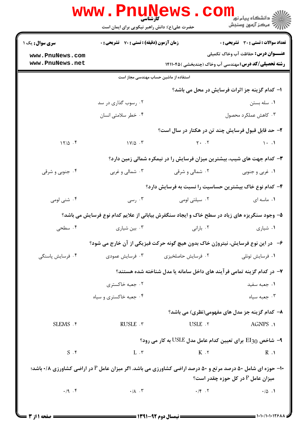|                                                                                                                                                         | <b>www.Pnun</b><br><b>۔ کارشناسی</b><br>حضرت علی(ع): دانش راهبر نیکویی برای ایمان است | EWS.CO                             | د دانشگاه پيام نو <mark>ر</mark><br>رآ مرڪز آزمون وسنڊش     |  |  |  |
|---------------------------------------------------------------------------------------------------------------------------------------------------------|---------------------------------------------------------------------------------------|------------------------------------|-------------------------------------------------------------|--|--|--|
| <b>سری سوال :</b> یک ۱                                                                                                                                  | <b>زمان آزمون (دقیقه) : تستی : 70 ٪ تشریحی : 0</b>                                    |                                    | تعداد سوالات : تستي : 30 ٪ تشريحي : 0                       |  |  |  |
| www.PnuNews.com                                                                                                                                         |                                                                                       |                                    | <b>عنـــوان درس:</b> حفاظت آب وخاک تکمیلی                   |  |  |  |
| www.PnuNews.net                                                                                                                                         |                                                                                       |                                    | <b>رشته تحصیلی/کد درس:</b> مهندسی آب وخاک (چندبخشی )۱۴۱۱۰۴۵ |  |  |  |
| استفاده از ماشین حساب مهندسی مجاز است                                                                                                                   |                                                                                       |                                    |                                                             |  |  |  |
|                                                                                                                                                         |                                                                                       |                                    | ۱– کدام گزینه جز اثرات فرسایش در محل می باشد؟               |  |  |  |
|                                                                                                                                                         | ۰۲ رسوب گذاری در سد                                                                   |                                    | ۰۱ سله بستن                                                 |  |  |  |
|                                                                                                                                                         | ۰۴ خطر سلامتی انسان                                                                   |                                    | ۰۳ کاهش عملکرد محصول                                        |  |  |  |
| ۲- حد قابل قبول فرسایش چند تن در هکتار در سال است؟                                                                                                      |                                                                                       |                                    |                                                             |  |  |  |
| $17/\Delta$ .                                                                                                                                           | $1 \vee \emptyset$ .                                                                  | $Y - .V$                           | $\rightarrow$ $\rightarrow$ $\rightarrow$                   |  |  |  |
| ۰۳ کدام جهت های شیب، بیشترین میزان فرسایش را در نیمکره شمالی زمین دارد؟                                                                                 |                                                                                       |                                    |                                                             |  |  |  |
| ۰۴ جنوبی و شرقی                                                                                                                                         | ۰۳ شمالی و غربی                                                                       | ۰۲ شمالی و شرقی                    | ۰۱ غربی و جنوبی                                             |  |  |  |
|                                                                                                                                                         |                                                                                       |                                    | ۴– کدام نوع خاک بیشترین حساسیت را نسبت به فرسایش دارد؟      |  |  |  |
| ۰۴ شنی لومی                                                                                                                                             | ۰۳ رسی $\cdot$                                                                        | ۰۲ سیلتی لومی                      | ۰۱ ماسه ای                                                  |  |  |  |
| ۵– وجود سنگریزه های زیاد در سطح خاک و ایجاد سنگفرش بیابانی از علایم کدام نوع فرسایش می باشد؟                                                            |                                                                                       |                                    |                                                             |  |  |  |
| ۰۴ سطحی                                                                                                                                                 | ۰۳ بین شیاری                                                                          | ۰۲ بارانی                          | ۰۱ شیاری                                                    |  |  |  |
|                                                                                                                                                         | ۶-۔ در این نوع فرسایش، نیتروژن خاک بدون هیچ گونه حرکت فیزیکی از آن خارج می شود؟       |                                    |                                                             |  |  |  |
| ۰۴ فرسایش پاسنگی                                                                                                                                        | ۰۳ فرسایش عمودی                                                                       | ۰۲ فرسایش حاصلخیزی                 | ۰۱ فرسایش تونلی                                             |  |  |  |
|                                                                                                                                                         | ۷– در کدام گزینه تمامی فرآیند های داخل سامانه یا مدل شناخته شده هستند؟                |                                    |                                                             |  |  |  |
|                                                                                                                                                         | ۰۲ جعبه خاکستری                                                                       |                                    | ٠١. جعبه سفيد                                               |  |  |  |
|                                                                                                                                                         | ۰۴ جعبه خاکستری و سیاه                                                                |                                    | جعبه سياه $\cdot$                                           |  |  |  |
|                                                                                                                                                         |                                                                                       |                                    | ۸– کدام گزینه جز مدل های مفهومی(نظری) می باشد؟              |  |  |  |
| SLEMS . F                                                                                                                                               | RUSLE . ٣                                                                             | USLE .٢                            | AGNPS .1                                                    |  |  |  |
|                                                                                                                                                         |                                                                                       |                                    | وای تعیین کدام عامل مدل USLE به کار می رود؟ A- شاخص (EI3    |  |  |  |
| $S \cdot$ ۴                                                                                                                                             | $L \cdot \tau$                                                                        | $K \cdot Y$                        | $R \cdot 1$                                                 |  |  |  |
| <b>۱۰- حوزه ای شامل ۵۰ درصد مرتع و ۵۰ درصد اراضی کشاورزی می باشد. اگر میزان عامل P در اراضی کشاورزی ۰/۸ باشد؛</b><br>0 میزان عامل P در کل حوزه چقدر است |                                                                                       |                                    |                                                             |  |  |  |
| .19.5                                                                                                                                                   | $\cdot/\lambda$ . ۳                                                                   | $\cdot$ /f $\cdot$ $\cdot$ $\cdot$ | $\cdot/\Delta$ .                                            |  |  |  |
|                                                                                                                                                         |                                                                                       |                                    |                                                             |  |  |  |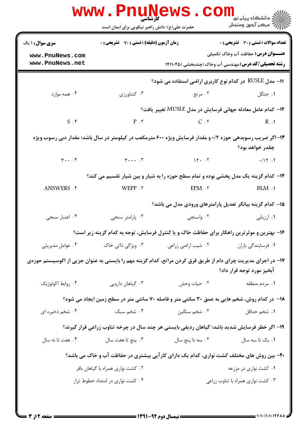| تعداد سوالات : تستى : 30 ٪ تشريحي : 0                       |                    | <b>زمان آزمون (دقیقه) : تستی : 70 ٪ تشریحی : 0</b>                                                                                                  | <b>سری سوال : ۱ یک</b> |
|-------------------------------------------------------------|--------------------|-----------------------------------------------------------------------------------------------------------------------------------------------------|------------------------|
| <b>عنـــوان درس:</b> حفاظت آب وخاک تکمیلی                   |                    |                                                                                                                                                     | www.PnuNews.com        |
| <b>رشته تحصیلی/کد درس:</b> مهندسی آب وخاک (چندبخشی )۱۴۱۱۰۴۵ |                    |                                                                                                                                                     | www.PnuNews.net        |
| ا1− مدل RUSLE در کدام نوع کاربری اراضی استفاده می شود؟      |                    |                                                                                                                                                     |                        |
| ۰۱ جنگل                                                     | ۰۲ مرتع            | ۰۳ کشاورزی                                                                                                                                          | ۰۴ همه موارد           |
| ۱۲– کدام عامل معادله جهانی فرسایش در مدل MUSLE تغییر یافت؟  |                    |                                                                                                                                                     |                        |
|                                                             |                    | $P \cdot r$ $C \cdot r$ $R \cdot 1$                                                                                                                 | $S \cdot$ ۴            |
|                                                             |                    | ۱۳–اگر ضریب رسوبدهی حوزه ۰/۲ و مقدار فرسایش ویژه ۶۰۰ مترمکعب در کیلومتر در سال باشد؛ مقدار دبی رسوب ویژه                                            |                        |
| چقدر خواهد بود؟                                             |                    |                                                                                                                                                     |                        |
| .117.1                                                      |                    | $\mathbf{r} \cdot \cdot \cdot \mathbf{r}$ $\qquad \qquad \mathbf{r} \cdot \cdot \cdot \mathbf{r}$ $\qquad \qquad \mathbf{r} \cdot \cdot \mathbf{r}$ |                        |
|                                                             |                    | ۱۴- کدام گزینه یک مدل پخشی بوده و تمام سطح حوزه را به شیار و بین شیار تقسیم می کند؟                                                                 |                        |
| $BLM$ .                                                     | $EPM \cdot Y$      | WEPP.                                                                                                                                               | ANSWERS . ۴            |
| 1۵- کدام گزینه بیانگر تعدیل پارامترهای ورودی مدل می باشد؟   |                    |                                                                                                                                                     |                        |
| ۰۱ ارزیابی                                                  | ۰۲ واسنجی          | ۰۳ پارامتر سنجي                                                                                                                                     | ۰۴ اعتبار سنجى         |
|                                                             |                    | ۱۶– بهترین و موثرترین راهکار برای حفاظت خاک و یا کنترل فرسایش، توجه به کدام گزینه زیر است؟                                                          |                        |
| ٠١ فرسايندگي باران                                          | ۰۲ شیب اراضی زراعی | ۰۳ ویژگی ذاتی خاک                                                                                                                                   | ۰۴ عوامل مدیریتی       |
| آبخيز مورد توجه قرار داد؟                                   |                    | ۱۷– در اجرای مدیریت چرای دام از طریق قرق کردن مراتع، کدام گزینه مهم را بایستی به عنوان جزیی از اکوسیستم حوزهی                                       |                        |
| ۰۱ مردم منطقه                                               | ۰۲ حیات وحش        | ۰۳ گیاهان دارویی                                                                                                                                    | ۰۴ روابط اکولوژیک      |
|                                                             |                    | <b>۱۸</b> - در کدام روش، شخم هایی به عمق ۳۰ سانتی متر و فاصله ۷۰ سانتی متر در سطح زمین ایجاد می شود؟                                                |                        |
| ۰۱ شخ <sub>م</sub> حداقل                                    | ۰۲ شخم سنگین       | ۰۳ شخم سبک                                                                                                                                          | ۰۴ شخم ذخیره ای        |
|                                                             |                    | ۱۹- اگر خطر فرسایش شدید باشد؛ گیاهان ردیفی بایستی هر چند سال در چرخه تناوب زراعی قرار گیرند؟                                                        |                        |
| ٠١. يک تا سه سال                                            | ۰۲ سه تا پنج سال   | ۰۳ پنج تا هفت سال                                                                                                                                   | ۰۴ هفت تا نه سال       |
|                                                             |                    | ۲۰- بین روش های مختلف کشت نواری، کدام یک دارای کار آیی بیشتری در حفاظت آب و خاک می باشد؟                                                            |                        |
| ۰۱ کشت نواری در مزرعه                                       |                    | ۰۲ کشت نواری همراه با گیاهان بافر                                                                                                                   |                        |
| ۰۳ کشت نواری همراه با تناوب زراعی                           |                    | ۰۴ کشت نواری در امتداد خطوط تراز                                                                                                                    |                        |